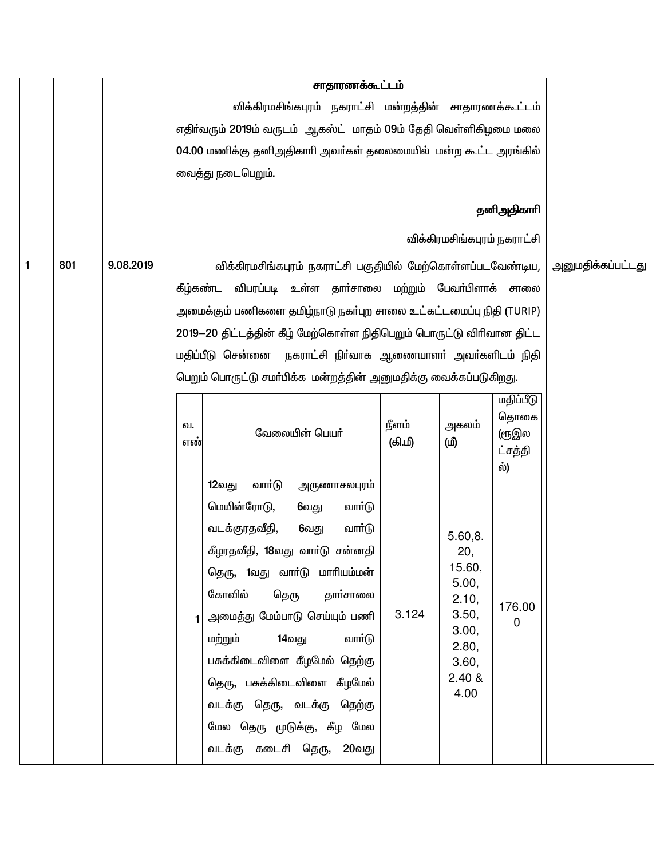|   |     |           |                                                                 | சாதாரணக்கூட்டம்                                                                                                                                                                                                                                                                                                                                                                                                           |                  |                                                                                                  |                                              |                   |
|---|-----|-----------|-----------------------------------------------------------------|---------------------------------------------------------------------------------------------------------------------------------------------------------------------------------------------------------------------------------------------------------------------------------------------------------------------------------------------------------------------------------------------------------------------------|------------------|--------------------------------------------------------------------------------------------------|----------------------------------------------|-------------------|
|   |     |           |                                                                 | விக்கிரமசிங்கபுரம் நகராட்சி மன்றத்தின் சாதாரணக்கூட்டம்                                                                                                                                                                                                                                                                                                                                                                    |                  |                                                                                                  |                                              |                   |
|   |     |           | எதிர்வரும் 2019ம் வருடம் ஆகஸ்ட் மாதம் 09ம் தேதி வெள்ளிகிழமை மலை |                                                                                                                                                                                                                                                                                                                                                                                                                           |                  |                                                                                                  |                                              |                   |
|   |     |           |                                                                 | 04.00 மணிக்கு தனிஅதிகாரி அவர்கள் தலைமையில் மன்ற கூட்ட அரங்கில்                                                                                                                                                                                                                                                                                                                                                            |                  |                                                                                                  |                                              |                   |
|   |     |           |                                                                 | வைத்து நடைபெறும்.                                                                                                                                                                                                                                                                                                                                                                                                         |                  |                                                                                                  |                                              |                   |
|   |     |           |                                                                 |                                                                                                                                                                                                                                                                                                                                                                                                                           |                  |                                                                                                  |                                              |                   |
|   |     |           |                                                                 |                                                                                                                                                                                                                                                                                                                                                                                                                           |                  |                                                                                                  | தனிஅதிகாரி                                   |                   |
|   |     |           |                                                                 |                                                                                                                                                                                                                                                                                                                                                                                                                           |                  | விக்கிரமசிங்கபுரம் நகராட்சி                                                                      |                                              |                   |
| 1 | 801 | 9.08.2019 |                                                                 | விக்கிரமசிங்கபுரம் நகராட்சி பகுதியில் மேற்கொள்ளப்படவேண்டிய,                                                                                                                                                                                                                                                                                                                                                               |                  |                                                                                                  |                                              | அனுமதிக்கப்பட்டது |
|   |     |           |                                                                 | விபரப்படி உள்ள தாா்சாலை மற்றும் பேவா்பிளாக்<br>கீழ்கண்ட                                                                                                                                                                                                                                                                                                                                                                   |                  |                                                                                                  | சாலை                                         |                   |
|   |     |           |                                                                 | அமைக்கும் பணிகளை தமிழ்நாடு நகா்புற சாலை உட்கட்டமைப்பு நிதி (TURIP)                                                                                                                                                                                                                                                                                                                                                        |                  |                                                                                                  |                                              |                   |
|   |     |           |                                                                 | 2019–20 திட்டத்தின் கீழ் மேற்கொள்ள நிதிபெறும் பொருட்டு விரிவான திட்ட                                                                                                                                                                                                                                                                                                                                                      |                  |                                                                                                  |                                              |                   |
|   |     |           |                                                                 | மதிப்பீடு சென்னை நகராட்சி நிா்வாக ஆணையாளா் அவா்களிடம் நிதி                                                                                                                                                                                                                                                                                                                                                                |                  |                                                                                                  |                                              |                   |
|   |     |           |                                                                 | பெறும் பொருட்டு சமா்பிக்க மன்றத்தின் அனுமதிக்கு வைக்கப்படுகிறது.                                                                                                                                                                                                                                                                                                                                                          |                  |                                                                                                  |                                              |                   |
|   |     |           | வ.<br>எண்                                                       | வேலையின் பெயர்                                                                                                                                                                                                                                                                                                                                                                                                            | நீளம்<br>(கி.மீ) | அகலம்<br>(மி                                                                                     | மதிப்பீடு<br>தொகை<br>(ரூஇல<br>ட்சத்தி<br>ல்) |                   |
|   |     |           |                                                                 | வார்டு<br>12வது<br>அருணாசலபுரம்<br>மெயின்ரோடு,<br>வாா்டு<br>6வது<br>வடக்குரதவீதி,<br>வார்டு<br>6வது<br>கீழரதவீதி, 18வது வாா்டு சன்னதி<br>தெரு, 1வது வார்டு மாரியம்மன்<br>கோவில்<br>தெரு<br>தார்சாலை<br>அமைத்து மேம்பாடு செய்யும் பணி<br>மற்றும்<br>14வது<br>வார்டு<br>பசுக்கிடைவிளை கீழமேல் தெற்கு<br>தெரு, பசுக்கிடைவிளை கீழமேல்<br>வடக்கு தெரு, வடக்கு தெற்கு<br>மேல தெரு முடுக்கு, கீழ மேல<br>வடக்கு கடைசி தெரு, 20வது | 3.124            | 5.60,8.<br>20,<br>15.60,<br>5.00,<br>2.10,<br>3.50,<br>3.00,<br>2.80,<br>3.60,<br>2.40 &<br>4.00 | 176.00<br>0                                  |                   |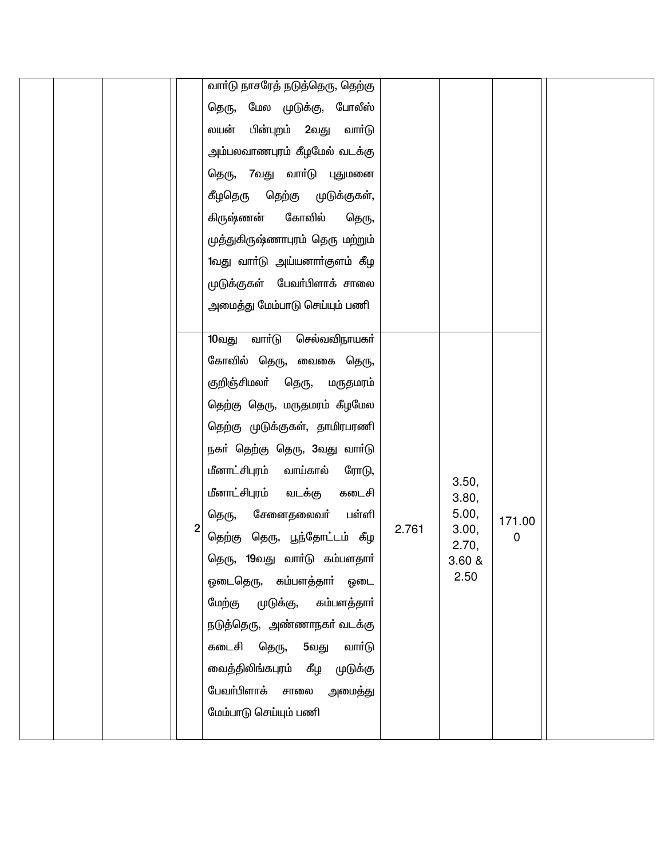|  |   | வாா்டு நாசரேத் நடுத்தெரு, தெற்கு   |       |                |        |  |
|--|---|------------------------------------|-------|----------------|--------|--|
|  |   | தெரு, மேல முடுக்கு, போலீஸ்         |       |                |        |  |
|  |   | பின்புறம் 2வது<br>லயன்<br>வார்டு   |       |                |        |  |
|  |   | அம்பலவாணபுரம் கீழமேல் வடக்கு       |       |                |        |  |
|  |   | தெரு, 7வது வாா்டு புதுமனை          |       |                |        |  |
|  |   | கீழதெரு<br>தெற்கு முடுக்குகள்,     |       |                |        |  |
|  |   | கிருஷ்ணன்<br>கோவில்<br>தெரு,       |       |                |        |  |
|  |   | முத்துகிருஷ்ணாபுரம் தெரு மற்றும்   |       |                |        |  |
|  |   | 1வது வாா்டு அய்யனாா்குளம் கீழ      |       |                |        |  |
|  |   | முடுக்குகள் பேவா்பிளாக் சாலை       |       |                |        |  |
|  |   | அமைத்து மேம்பாடு செய்யும் பணி      |       |                |        |  |
|  |   |                                    |       |                |        |  |
|  |   | வாா்டு<br>செல்வவிநாயகா்<br>10வது   |       |                |        |  |
|  |   | கோவில் தெரு, வைகை தெரு,            |       |                |        |  |
|  |   | குறிஞ்சிமலா் தெரு,<br>மருதமரம்     |       |                |        |  |
|  |   | தெற்கு தெரு, மருதமரம் கீழமேல       |       |                |        |  |
|  |   | தெற்கு முடுக்குகள், தாமிரபரணி      |       |                |        |  |
|  |   | நகா் தெற்கு தெரு, 3வது வாா்டு      |       |                |        |  |
|  |   | மீனாட்சிபுரம்<br>வாய்கால்<br>ரோடு, |       | 3.50,          |        |  |
|  |   | மீனாட்சிபுரம் வடக்கு<br>கடைசி      |       | 3.80,          |        |  |
|  | 2 | சேனைதலைவா்<br>பள்ளி<br>தெரு,       | 2.761 | 5.00,<br>3.00, | 171.00 |  |
|  |   | தெற்கு தெரு, பூந்தோட்டம் கீழ       |       | 2.70,          | 0      |  |
|  |   | தெரு, 19வது வாா்டு கம்பளதாா்       |       | 3.60 &         |        |  |
|  |   | ஓடைதெரு, கம்பளத்தாா் ஓடை           |       | 2.50           |        |  |
|  |   | மேற்கு முடுக்கு, கம்பளத்தாா்       |       |                |        |  |
|  |   | நடுத்தெரு, அண்ணாநகா் வடக்கு        |       |                |        |  |
|  |   | கடைசி தெரு, 5வது வாா்டு            |       |                |        |  |
|  |   | வைத்திலிங்கபுரம் கீழ முடுக்கு      |       |                |        |  |
|  |   | பேவா்பிளாக் சாலை அமைத்து           |       |                |        |  |
|  |   | மேம்பாடு செய்யும் பணி              |       |                |        |  |
|  |   |                                    |       |                |        |  |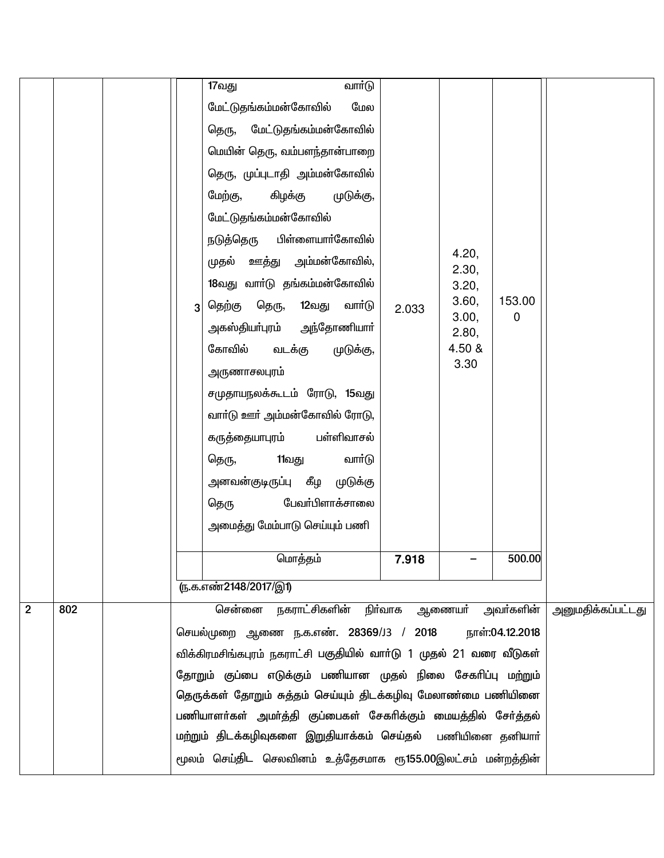|                |     | 3                                                                                                                                                                                                                                                                                                                                                                                                                                                                                                     | வார்டு<br>17வது<br>மேல<br>மேட்டுதங்கம்மன்கோவில்<br>தெரு, மேட்டுதங்கம்மன்கோவில்<br>மெயின் தெரு, வம்பளந்தான்பாறை<br>தெரு, முப்புடாதி அம்மன்கோவில்<br>மேற்கு,<br>கிழக்கு<br>முடுக்கு,<br>மேட்டுதங்கம்மன்கோவில்<br>பிள்ளையாா்கோவில்<br>நடுத்தெரு<br><u>ஊத்து</u> அம்மன்கோவில்,<br>முதல்<br>18வது வாா்டு தங்கம்மன்கோவில்<br>தெரு,<br>தெற்கு<br>12வது<br>வார்டு<br>அகஸ்தியா்புரம் அந்தோணியாா்<br>கோவில்<br>வடக்கு<br>முடுக்கு,<br><u>அருணாசலபுரம்</u><br>சமுதாயநலக்கூடம் ரோடு, 15வது<br>வாா்டு ஊா் அம்மன்கோவில் ரோடு,<br>பள்ளிவாசல்<br>கருத்தையாபுரம்<br>11வது<br>வார்டு<br>தெரு, | 2.033 | 4.20,<br>2.30,<br>3.20,<br>3.60,<br>3.00,<br>2.80,<br>4.50 &<br>3.30 | 153.00<br>$\Omega$ |                          |
|----------------|-----|-------------------------------------------------------------------------------------------------------------------------------------------------------------------------------------------------------------------------------------------------------------------------------------------------------------------------------------------------------------------------------------------------------------------------------------------------------------------------------------------------------|-----------------------------------------------------------------------------------------------------------------------------------------------------------------------------------------------------------------------------------------------------------------------------------------------------------------------------------------------------------------------------------------------------------------------------------------------------------------------------------------------------------------------------------------------------------------------------|-------|----------------------------------------------------------------------|--------------------|--------------------------|
|                |     |                                                                                                                                                                                                                                                                                                                                                                                                                                                                                                       | அமைத்து மேம்பாடு செய்யும் பணி                                                                                                                                                                                                                                                                                                                                                                                                                                                                                                                                               |       |                                                                      |                    |                          |
|                |     |                                                                                                                                                                                                                                                                                                                                                                                                                                                                                                       | மொத்தம்<br>(ந.க.எண்2148/2017/இ1)                                                                                                                                                                                                                                                                                                                                                                                                                                                                                                                                            | 7.918 |                                                                      | 500.00             |                          |
| $\overline{2}$ | 802 |                                                                                                                                                                                                                                                                                                                                                                                                                                                                                                       | சென்னை                                                                                                                                                                                                                                                                                                                                                                                                                                                                                                                                                                      |       |                                                                      |                    | <u>அனுமதிக்கப்பட்டது</u> |
|                |     | நகராட்சிகளின் நிா்வாக ஆணையா் அவா்களின்<br>செயல்முறை ஆணை ந.க.எண். 28369/J3 / 2018 நாள்:04.12.2018<br>விக்கிரமசிங்கபுரம் நகராட்சி பகுதியில் வாா்டு 1 முதல் 21 வரை வீடுகள்<br>தோறும் குப்பை எடுக்கும் பணியான முதல் நிலை சேகரிப்பு மற்றும்<br>தெருக்கள் தோறும் சுத்தம் செய்யும் திடக்கழிவு மேலாண்மை பணியினை<br>பணியாளா்கள் அமா்த்தி குப்பைகள் சேகாிக்கும் மையத்தில் சோ்த்தல்<br>மற்றும் திடக்கழிவுகளை இறுதியாக்கம் செய்தல் பணியினை தனியார்<br>மூலம் செய்திட செலவினம் உத்தேசமாக ரூ155.00இலட்சம் மன்றத்தின் |                                                                                                                                                                                                                                                                                                                                                                                                                                                                                                                                                                             |       |                                                                      |                    |                          |
|                |     |                                                                                                                                                                                                                                                                                                                                                                                                                                                                                                       |                                                                                                                                                                                                                                                                                                                                                                                                                                                                                                                                                                             |       |                                                                      |                    |                          |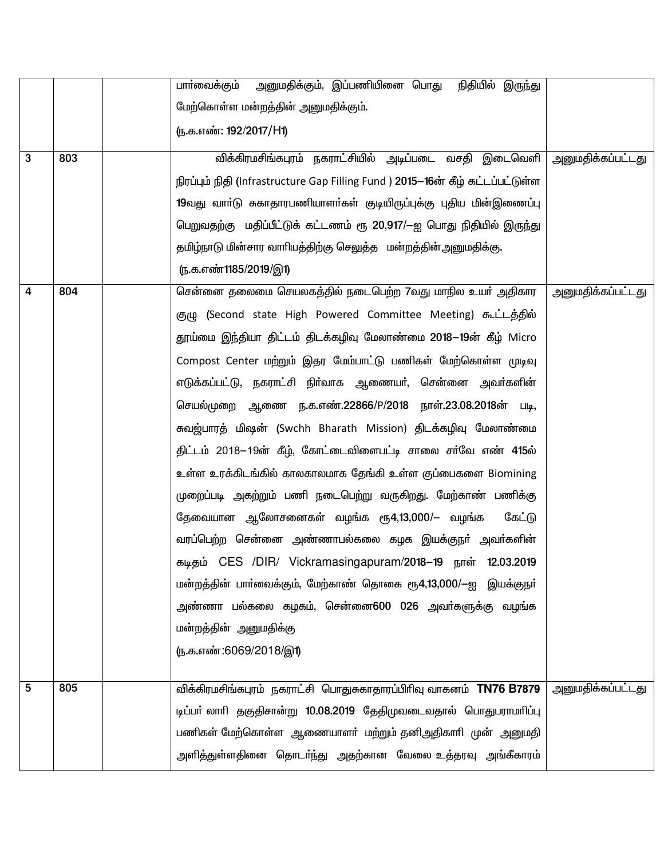|   |     | அனுமதிக்கும், இப்பணியினை பொது<br>நிதியில் இருந்து<br>பாா்வைக்கும்               |                          |
|---|-----|---------------------------------------------------------------------------------|--------------------------|
|   |     | மேற்கொள்ள மன்றத்தின் அனுமதிக்கும்.                                              |                          |
|   |     | (ந.க.எண்: 192/2017/H1)                                                          |                          |
| 3 | 803 | விக்கிரமசிங்கபுரம் நகராட்சியில் அடிப்படை வசதி இடைவெளி                           | <u>அனுமதிக்கப்பட்டது</u> |
|   |     | நிரப்பும் நிதி (Infrastructure Gap Filling Fund ) 2015–16ன் கீழ் கட்டப்பட்டுள்ள |                          |
|   |     | 19வது வாா்டு சுகாதாரபணியாளா்கள் குடியிருப்புக்கு புதிய மின்இணைப்பு              |                          |
|   |     | பெறுவதற்கு மதிப்பீட்டுக் கட்டணம் ரூ 20,917/—ஐ பொது நிதியில் இருந்து             |                          |
|   |     | தமிழ்நாடு மின்சார வாாியத்திற்கு செலுத்த மன்றத்தின்அனுமதிக்கு.                   |                          |
|   |     | (ந.க.எண்1185/2019/இ1)                                                           |                          |
| 4 | 804 | சென்னை தலைமை செயலகத்தில் நடைபெற்ற 7வது மாநில உயா் அதிகார                        | அனுமதிக்கப்பட்டது        |
|   |     | குழு (Second state High Powered Committee Meeting) கூட்டத்தில்                  |                          |
|   |     | தூய்மை இந்தியா திட்டம் திடக்கழிவு மேலாண்மை 2018–19ன் கீழ் Micro                 |                          |
|   |     | Compost Center மற்றும் இதர மேம்பாட்டு பணிகள் மேற்கொள்ள முடிவு                   |                          |
|   |     | எடுக்கப்பட்டு, நகராட்சி நிர்வாக ஆணையர், சென்னை அவர்களின்                        |                          |
|   |     | செயல்முறை ஆணை ந.க.எண்.22866/P/2018 நாள்.23.08.2018ன் படி,                       |                          |
|   |     | கவஜ்பாரத் மிஷன் (Swchh Bharath Mission) திடக்கழிவு மேலாண்மை                     |                          |
|   |     | திட்டம் 2018—19ன் கீழ், கோட்டைவிளைபட்டி சாலை சா்வே எண் 4 <b>15</b> ல்           |                          |
|   |     | உள்ள உரக்கிடங்கில் காலகாலமாக தேங்கி உள்ள குப்பைகளை Biomining                    |                          |
|   |     | முறைப்படி அகற்றும் பணி நடைபெற்று வருகிறது. மேற்காண் பணிக்கு                     |                          |
|   |     | தேவையான ஆலோசனைகள் வழங்க ரூ4,13,000/— வழங்க<br>கேட்டு                            |                          |
|   |     | வரப்பெற்ற சென்னை அண்ணாபல்கலை கழக இயக்குநா் அவா்களின்                            |                          |
|   |     | கடிதம் CES /DIR/ Vickramasingapuram/2018-19 நாள் 12.03.2019                     |                          |
|   |     | மன்றத்தின் பாா்வைக்கும், மேற்காண் தொகை ரூ4,13,000/—ஐ இயக்குநா்                  |                          |
|   |     | அண்ணா பல்கலை கழகம், சென்னை600 026 அவர்களுக்கு வழங்க                             |                          |
|   |     | மன்றத்தின் அனுமதிக்கு                                                           |                          |
|   |     | (ந.க.எண்:6069/2018/இ1)                                                          |                          |
|   |     |                                                                                 |                          |
| 5 | 805 | விக்கிரமசிங்கபுரம் நகராட்சி பொதுசுகாதாரப்பிரிவு வாகனம் TN76 B7879               | அனுமதிக்கப்பட்டது        |
|   |     | டிப்பா் லாாி தகுதிசான்று 10.08.2019 தேதிமுவடைவதால் பொதுபராமாிப்பு               |                          |
|   |     | பணிகள் மேற்கொள்ள ஆணையாளா் மற்றும் தனிஅதிகாாி முன் அனுமதி                        |                          |
|   |     | அளித்துள்ளதினை தொடா்ந்து அதற்கான வேலை உத்தரவு அங்கீகாரம்                        |                          |